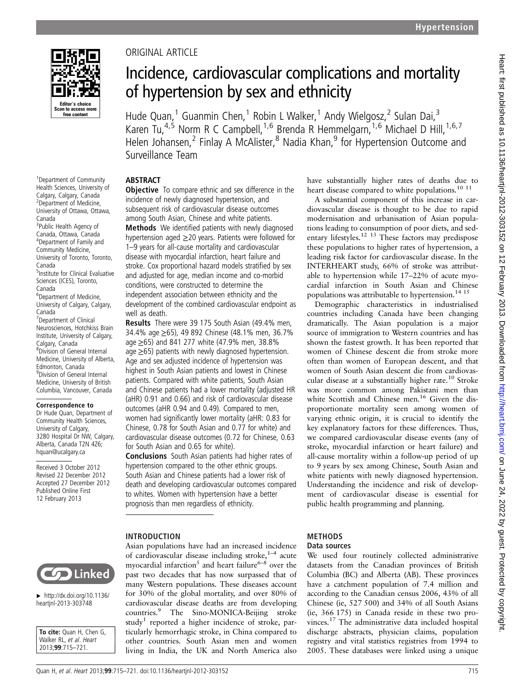

<sup>1</sup> Department of Community Health Sciences, University of Calgary, Calgary, Canada 2 Department of Medicine, University of Ottawa, Ottawa,

<sup>3</sup>Public Health Agency of Canada, Ottawa, Canada 4 Department of Family and Community Medicine, University of Toronto, Toronto,

5 Institute for Clinical Evaluative Sciences (ICES), Toronto,

6 Department of Medicine, University of Calgary, Calgary,

7 Department of Clinical Neurosciences, Hotchkiss Brain Institute, University of Calgary,

Correspondence to Dr Hude Quan, Department of Community Health Sciences, University of Calgary, 3280 Hospital Dr NW, Calgary, Alberta, Canada T2N 4Z6; hquan@ucalgary.ca Received 3 October 2012 Revised 22 December 2012 Accepted 27 December 2012 Published Online First 12 February 2013

Calgary, Canada 8 Division of General Internal Medicine, University of Alberta, Edmonton, Canada 9 Division of General Internal Medicine, University of British Columbia, Vancouver, Canada

Canada

Canada

Canada

Canada

## ORIGINAL ARTICLE

# Incidence, cardiovascular complications and mortality of hypertension by sex and ethnicity

Hude Quan,<sup>1</sup> Guanmin Chen,<sup>1</sup> Robin L Walker,<sup>1</sup> Andy Wielgosz,<sup>2</sup> Sulan Dai,<sup>3</sup> Karen Tu,<sup>4,5</sup> Norm R C Campbell,<sup>1,6</sup> Brenda R Hemmelgarn,<sup>1,6</sup> Michael D Hill,<sup>1,6,7</sup> Helen Johansen,<sup>2</sup> Finlay A McAlister,<sup>8</sup> Nadia Khan,<sup>9</sup> for Hypertension Outcome and Surveillance Team

## ABSTRACT

**Objective** To compare ethnic and sex difference in the incidence of newly diagnosed hypertension, and subsequent risk of cardiovascular disease outcomes among South Asian, Chinese and white patients. Methods We identified patients with newly diagnosed hypertension aged ≥20 years. Patients were followed for 1–9 years for all-cause mortality and cardiovascular disease with myocardial infarction, heart failure and stroke. Cox proportional hazard models stratified by sex and adjusted for age, median income and co-morbid conditions, were constructed to determine the independent association between ethnicity and the development of the combined cardiovascular endpoint as well as death.

Results There were 39 175 South Asian (49.4% men, 34.4% age ≥65), 49 892 Chinese (48.1% men, 36.7% age ≥65) and 841 277 white (47.9% men, 38.8% age ≥65) patients with newly diagnosed hypertension. Age and sex adjusted incidence of hypertension was highest in South Asian patients and lowest in Chinese patients. Compared with white patients, South Asian and Chinese patients had a lower mortality (adjusted HR (aHR) 0.91 and 0.66) and risk of cardiovascular disease outcomes (aHR 0.94 and 0.49). Compared to men, women had significantly lower mortality (aHR: 0.83 for Chinese, 0.78 for South Asian and 0.77 for white) and cardiovascular disease outcomes (0.72 for Chinese, 0.63 for South Asian and 0.65 for white).

Conclusions South Asian patients had higher rates of hypertension compared to the other ethnic groups. South Asian and Chinese patients had a lower risk of death and developing cardiovascular outcomes compared to whites. Women with hypertension have a better prognosis than men regardless of ethnicity.

#### INTRODUCTION

Asian populations have had an increased incidence of cardiovascular disease including stroke, $1-4$  acute myocardial infarction<sup>5</sup> and heart failure<sup>6–8</sup> over the past two decades that has now surpassed that of many Western populations. These diseases account for 30% of the global mortality, and over 80% of cardiovascular disease deaths are from developing countries.<sup>9</sup> The Sino-MONICA-Beijing stroke study<sup>1</sup> reported a higher incidence of stroke, particularly hemorrhagic stroke, in China compared to other countries. South Asian men and women living in India, the UK and North America also

have substantially higher rates of deaths due to heart disease compared to white populations.<sup>10 11</sup>

A substantial component of this increase in cardiovascular disease is thought to be due to rapid modernisation and urbanisation of Asian populations leading to consumption of poor diets, and sedentary lifestyles.<sup>12</sup> <sup>13</sup> These factors may predispose these populations to higher rates of hypertension, a leading risk factor for cardiovascular disease. In the INTERHEART study, 66% of stroke was attributable to hypertension while 17–22% of acute myocardial infarction in South Asian and Chinese populations was attributable to hypertension.<sup>14 15</sup>

Demographic characteristics in industrialised countries including Canada have been changing dramatically. The Asian population is a major source of immigration to Western countries and has shown the fastest growth. It has been reported that women of Chinese descent die from stroke more often than women of European descent, and that women of South Asian descent die from cardiovascular disease at a substantially higher rate.<sup>10</sup> Stroke was more common among Pakistani men than white Scottish and Chinese men.<sup>16</sup> Given the disproportionate mortality seen among women of varying ethnic origin, it is crucial to identify the key explanatory factors for these differences. Thus, we compared cardiovascular disease events (any of stroke, myocardial infarction or heart failure) and all-cause mortality within a follow-up period of up to 9 years by sex among Chinese, South Asian and white patients with newly diagnosed hypertension. Understanding the incidence and risk of development of cardiovascular disease is essential for public health programming and planning.

## METHODS

#### Data sources

We used four routinely collected administrative datasets from the Canadian provinces of British Columbia (BC) and Alberta (AB). These provinces have a catchment population of 7.4 million and according to the Canadian census 2006, 43% of all Chinese (ie, 527 500) and 34% of all South Asians (ie, 366 175) in Canada reside in these two provinces.<sup>17</sup> The administrative data included hospital discharge abstracts, physician claims, population registry and vital statistics registries from 1994 to 2005. These databases were linked using a unique



▸ [http://dx.doi.org/10.1136/](http://dx.doi.org/10.1136/heartjnl-2013-303748) [heartjnl-2013-303748](http://dx.doi.org/10.1136/heartjnl-2013-303748)

| To cite: Quan H, Chen G, |
|--------------------------|
| Walker RL, et al. Heart  |
| 2013:99:715-721.         |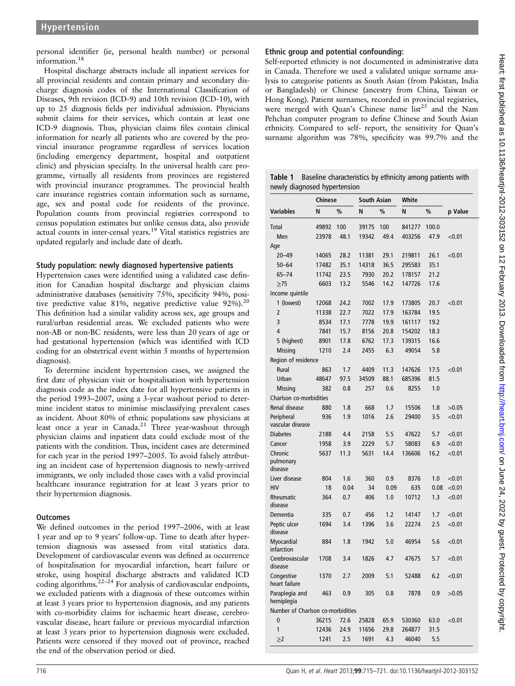personal identifier (ie, personal health number) or personal information.18

Hospital discharge abstracts include all inpatient services for all provincial residents and contain primary and secondary discharge diagnosis codes of the International Classification of Diseases, 9th revision (ICD-9) and 10th revision (ICD-10), with up to 25 diagnosis fields per individual admission. Physicians submit claims for their services, which contain at least one ICD-9 diagnosis. Thus, physician claims files contain clinical information for nearly all patients who are covered by the provincial insurance programme regardless of services location (including emergency department, hospital and outpatient clinic) and physician specialty. In the universal health care programme, virtually all residents from provinces are registered with provincial insurance programmes. The provincial health care insurance registries contain information such as surname, age, sex and postal code for residents of the province. Population counts from provincial registries correspond to census population estimates but unlike census data, also provide actual counts in inter-censal years.<sup>19</sup> Vital statistics registries are updated regularly and include date of death.

## Study population: newly diagnosed hypertensive patients

Hypertension cases were identified using a validated case definition for Canadian hospital discharge and physician claims administrative databases (sensitivity 75%, specificity 94%, positive predictive value 81%, negative predictive value  $92\%$ ).<sup>20</sup> This definition had a similar validity across sex, age groups and rural/urban residential areas. We excluded patients who were non-AB or non-BC residents, were less than 20 years of age or had gestational hypertension (which was identified with ICD coding for an obstetrical event within 5 months of hypertension diagnosis).

To determine incident hypertension cases, we assigned the first date of physician visit or hospitalisation with hypertension diagnosis code as the index date for all hypertensive patients in the period 1993–2007, using a 3-year washout period to determine incident status to minimise misclassifying prevalent cases as incident. About 80% of ethnic populations saw physicians at least once a year in Canada.<sup>21</sup> Three year-washout through physician claims and inpatient data could exclude most of the patients with the condition. Thus, incident cases are determined for each year in the period 1997–2005. To avoid falsely attributing an incident case of hypertension diagnosis to newly-arrived immigrants, we only included those cases with a valid provincial healthcare insurance registration for at least 3 years prior to their hypertension diagnosis.

## **Outcomes**

We defined outcomes in the period 1997–2006, with at least 1 year and up to 9 years' follow-up. Time to death after hypertension diagnosis was assessed from vital statistics data. Development of cardiovascular events was defined as occurrence of hospitalisation for myocardial infarction, heart failure or stroke, using hospital discharge abstracts and validated ICD coding algorithms. $22-24$  For analysis of cardiovascular endpoints, we excluded patients with a diagnosis of these outcomes within at least 3 years prior to hypertension diagnosis, and any patients with co-morbidity claims for ischaemic heart disease, cerebrovascular disease, heart failure or previous myocardial infarction at least 3 years prior to hypertension diagnosis were excluded. Patients were censored if they moved out of province, reached the end of the observation period or died.

## Ethnic group and potential confounding:

Self-reported ethnicity is not documented in administrative data in Canada. Therefore we used a validated unique surname analysis to categorise patients as South Asian (from Pakistan, India or Bangladesh) or Chinese (ancestry from China, Taiwan or Hong Kong). Patient surnames, recorded in provincial registries, were merged with Quan's Chinese name  $\text{list}^{25}$  and the Nam Pehchan computer program to define Chinese and South Asian ethnicity. Compared to self- report, the sensitivity for Quan's surname algorithm was 78%, specificity was 99.7% and the

| <b>Table 1</b> Baseline characteristics by ethnicity among patients with |
|--------------------------------------------------------------------------|
| newly diagnosed hypertension                                             |

|                                   | <b>Chinese</b> |      | <b>South Asian</b> |      | White  |       |         |
|-----------------------------------|----------------|------|--------------------|------|--------|-------|---------|
| <b>Variables</b>                  | N              | %    | N                  | $\%$ | N      | %     | p Value |
| <b>Total</b>                      | 49892          | 100  | 39175              | 100  | 841277 | 100.0 |         |
| Men                               | 23978          | 48.1 | 19342              | 49.4 | 403256 | 47.9  | < 0.01  |
| Age                               |                |      |                    |      |        |       |         |
| $20 - 49$                         | 14065          | 28.2 | 11381              | 29.1 | 219811 | 26.1  | < 0.01  |
| $50 - 64$                         | 17482          | 35.1 | 14318              | 36.5 | 295583 | 35.1  |         |
| $65 - 74$                         | 11742          | 23.5 | 7930               | 20.2 | 178157 | 21.2  |         |
| >75                               | 6603           | 13.2 | 5546               | 14.2 | 147726 | 17.6  |         |
| Income quintile                   |                |      |                    |      |        |       |         |
| 1 (lowest)                        | 12068          | 24.2 | 7002               | 17.9 | 173805 | 20.7  | < 0.01  |
| $\overline{2}$                    | 11338          | 22.7 | 7022               | 17.9 | 163784 | 19.5  |         |
| 3                                 | 8534           | 17.1 | 7778               | 19.9 | 161117 | 19.2  |         |
| 4                                 | 7841           | 15.7 | 8156               | 20.8 | 154202 | 18.3  |         |
| 5 (highest)                       | 8901           | 17.8 | 6762               | 17.3 | 139315 | 16.6  |         |
| <b>Missing</b>                    | 1210           | 2.4  | 2455               | 6.3  | 49054  | 5.8   |         |
| Region of residence               |                |      |                    |      |        |       |         |
| Rural                             | 863            | 1.7  | 4409               | 11.3 | 147626 | 17.5  | < 0.01  |
| Urban                             | 48647          | 97.5 | 34509              | 88.1 | 685396 | 81.5  |         |
| <b>Missing</b>                    | 382            | 0.8  | 257                | 0.6  | 8255   | 1.0   |         |
| Charlson co-morbidities           |                |      |                    |      |        |       |         |
| Renal disease                     | 880            | 1.8  | 668                | 1.7  | 15506  | 1.8   | >0.05   |
| Peripheral                        | 936            | 1.9  | 1016               | 2.6  | 29400  | 3.5   | < 0.01  |
| vascular disease                  |                |      |                    |      |        |       |         |
| <b>Diabetes</b>                   | 2188           | 4.4  | 2158               | 5.5  | 47622  | 5.7   | < 0.01  |
| Cancer                            | 1958           | 3.9  | 2229               | 5.7  | 58083  | 6.9   | < 0.01  |
| Chronic                           | 5637           | 11.3 | 5631               | 14.4 | 136606 | 16.2  | < 0.01  |
| pulmonary<br>disease              |                |      |                    |      |        |       |         |
| Liver disease                     | 804            | 1.6  | 360                | 0.9  | 8376   | 1.0   | < 0.01  |
| <b>HIV</b>                        | 18             | 0.04 | 34                 | 0.09 | 635    | 0.08  | < 0.01  |
| Rheumatic                         | 364            | 0.7  | 406                | 1.0  | 10712  | 1.3   | < 0.01  |
| disease                           |                |      |                    |      |        |       |         |
| Dementia                          | 335            | 0.7  | 456                | 1.2  | 14147  | 1.7   | < 0.01  |
| Peptic ulcer                      | 1694           | 3.4  | 1396               | 3.6  | 22274  | 2.5   | < 0.01  |
| disease                           |                |      |                    |      |        |       |         |
| Myocardial<br>infarction          | 884            | 1.8  | 1942               | 5.0  | 46954  | 5.6   | < 0.01  |
| Cerebrovascular<br>disease        | 1708           | 3.4  | 1826               | 4.7  | 47675  | 5.7   | < 0.01  |
| Congestive<br>heart failure       | 1370           | 2.7  | 2009               | 5.1  | 52488  | 6.2   | < 0.01  |
| Paraplegia and<br>hemiplegia      | 463            | 0.9  | 305                | 0.8  | 7878   | 0.9   | >0.05   |
| Number of Charlson co-morbidities |                |      |                    |      |        |       |         |
| 0                                 | 36215          | 72.6 | 25828              | 65.9 | 530360 | 63.0  | < 0.01  |
| 1                                 | 12436          | 24.9 | 11656              | 29.8 | 264877 | 31.5  |         |
| $\geq$ 2                          | 1241           | 2.5  | 1691               | 4.3  | 46040  | 5.5   |         |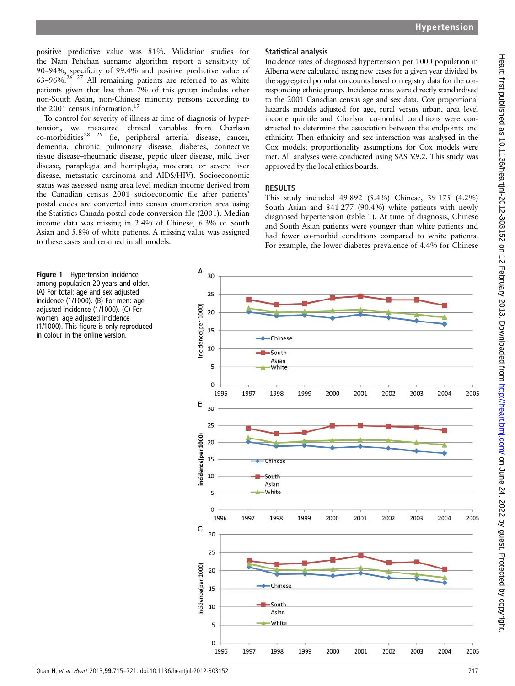positive predictive value was 81%. Validation studies for the Nam Pehchan surname algorithm report a sensitivity of 90–94%, specificity of 99.4% and positive predictive value of  $63-96\%$ .<sup>26° 27</sup> All remaining patients are referred to as white patients given that less than 7% of this group includes other non-South Asian, non-Chinese minority persons according to the 2001 census information.<sup>17</sup>

To control for severity of illness at time of diagnosis of hypertension, we measured clinical variables from Charlson co-morbidities<sup>28</sup> <sup>29</sup> (ie, peripheral arterial disease, cancer, dementia, chronic pulmonary disease, diabetes, connective tissue disease–rheumatic disease, peptic ulcer disease, mild liver disease, paraplegia and hemiplegia, moderate or severe liver disease, metastatic carcinoma and AIDS/HIV). Socioeconomic status was assessed using area level median income derived from the Canadian census 2001 socioeconomic file after patients' postal codes are converted into census enumeration area using the Statistics Canada postal code conversion file (2001). Median income data was missing in 2.4% of Chinese, 6.3% of South Asian and 5.8% of white patients. A missing value was assigned to these cases and retained in all models.

## Statistical analysis

Incidence rates of diagnosed hypertension per 1000 population in Alberta were calculated using new cases for a given year divided by the aggregated population counts based on registry data for the corresponding ethnic group. Incidence rates were directly standardised to the 2001 Canadian census age and sex data. Cox proportional hazards models adjusted for age, rural versus urban, area level income quintile and Charlson co-morbid conditions were constructed to determine the association between the endpoints and ethnicity. Then ethnicity and sex interaction was analysed in the Cox models; proportionality assumptions for Cox models were met. All analyses were conducted using SAS V.9.2. This study was approved by the local ethics boards.

#### RESULTS

This study included 49 892 (5.4%) Chinese, 39 175 (4.2%) South Asian and 841 277 (90.4%) white patients with newly diagnosed hypertension (table 1). At time of diagnosis, Chinese and South Asian patients were younger than white patients and had fewer co-morbid conditions compared to white patients. For example, the lower diabetes prevalence of 4.4% for Chinese

**Figure 1** Hypertension incidence among population 20 years and older. (A) For total: age and sex adjusted incidence (1/1000). (B) For men: age adjusted incidence (1/1000). (C) For women: age adjusted incidence (1/1000). This figure is only reproduced in colour in the online version.

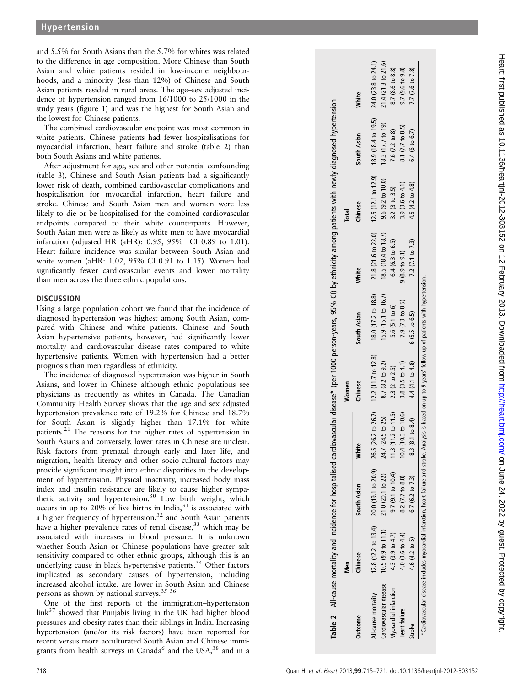and 5.5% for South Asians than the 5.7% for whites was related to the difference in age composition. More Chinese than South Asian and white patients resided in low-income neighbourhoods, and a minority (less than 12%) of Chinese and South Asian patients resided in rural areas. The age–sex adjusted incidence of hypertension ranged from 16/1000 to 25/1000 in the study years (figure 1) and was the highest for South Asian and the lowest for Chinese patients.

The combined cardiovascular endpoint was most common in white patients. Chinese patients had fewer hospitalisations for myocardial infarction, heart failure and stroke (table 2) than both South Asians and white patients.

After adjustment for age, sex and other potential confounding (table 3), Chinese and South Asian patients had a significantly lower risk of death, combined cardiovascular complications and hospitalisation for myocardial infarction, heart failure and stroke. Chinese and South Asian men and women were less likely to die or be hospitalised for the combined cardiovascular endpoints compared to their white counterparts. However, South Asian men were as likely as white men to have myocardial infarction (adjusted HR (aHR): 0.95, 95% CI 0.89 to 1.01). Heart failure incidence was similar between South Asian and white women (aHR: 1.02, 95% CI 0.91 to 1.15). Women had significantly fewer cardiovascular events and lower mortality than men across the three ethnic populations.

#### **DISCUSSION**

Using a large population cohort we found that the incidence of diagnosed hypertension was highest among South Asian, compared with Chinese and white patients. Chinese and South Asian hypertensive patients, however, had significantly lower mortality and cardiovascular disease rates compared to white hypertensive patients. Women with hypertension had a better prognosis than men regardless of ethnicity.

The incidence of diagnosed hypertension was higher in South Asians, and lower in Chinese although ethnic populations see physicians as frequently as whites in Canada. The Canadian Community Health Survey shows that the age and sex adjusted hypertension prevalence rate of 19.2% for Chinese and 18.7% for South Asian is slightly higher than 17.1% for white patients.21 The reasons for the higher rates of hypertension in South Asians and conversely, lower rates in Chinese are unclear. Risk factors from prenatal through early and later life, and migration, health literacy and other socio-cultural factors may provide significant insight into ethnic disparities in the development of hypertension. Physical inactivity, increased body mass index and insulin resistance are likely to cause higher sympathetic activity and hypertension.<sup>30</sup> Low birth weight, which occurs in up to 20% of live births in India, $31$  is associated with a higher frequency of hypertension, $32$  and South Asian patients have a higher prevalence rates of renal disease,<sup>33</sup> which may be associated with increases in blood pressure. It is unknown whether South Asian or Chinese populations have greater salt sensitivity compared to other ethnic groups, although this is an underlying cause in black hypertensive patients.<sup>34</sup> Other factors implicated as secondary causes of hypertension, including increased alcohol intake, are lower in South Asian and Chinese persons as shown by national surveys.35 36

One of the first reports of the immigration–hypertension  $\text{link}^{37}$  showed that Punjabis living in the UK had higher blood pressures and obesity rates than their siblings in India. Increasing hypertension (and/or its risk factors) have been reported for recent versus more acculturated South Asian and Chinese immigrants from health surveys in Canada<sup>6</sup> and the USA,  $38$  and in a

|                        | Men                     |                   |                                                                                 | Women            |                          |                            | Total                                                                                     |                   |                            |
|------------------------|-------------------------|-------------------|---------------------------------------------------------------------------------|------------------|--------------------------|----------------------------|-------------------------------------------------------------------------------------------|-------------------|----------------------------|
| <b>Outcome</b>         | <b>hinese</b>           | South Asian       | <b>Mhite</b>                                                                    | Chinese          | South Asian              | White                      | Chinese                                                                                   | South Asian       | White                      |
| ll-cause mortality     |                         |                   | 12.8 (12.2 to 13.4) 20.0 (19.1 to 20.9) 26.5 (26.2 to 26.7) 12.2 (11.7 to 12.8) |                  | 18.0 (17.2 to 18.8)      |                            | $21.8(21.6 \text{ to } 22.0)$ $12.5(12.1 \text{ to } 12.9)$ $18.9(18.4 \text{ to } 19.5)$ |                   | 24.0 (23.8 to 24.1)        |
| Cardiovascular disease | $10.5$ (9.9 to $11.1$ ) | 21.0 (20.1 to 22) | 24.7 (24.5 to 25)                                                               | 8.7 (8.2 to 9.2) | 15.9 (15.1 to 16.7)      | 18.5 (18.4 to 18.7)        | $9.6$ ( $9.2$ to $10.0$ )                                                                 | 18.3 (17.7 to 19) | $21.4(21.3$ to $21.6$      |
| Myocardial infarction  | 4.3 (3.9 to 4.7)        | 9.7 (9.1 to 10.4) | (1.3 (11.2 to 11.5))                                                            | 2.3 (2 to 2.5)   | 5.6 (5.1 to 6)           | $6.4(6.3 \text{ to } 6.5)$ | 3.2 $(3 to 3.5)$                                                                          | 7.6 (7.2 to 8)    | 8.7 (8.6 to 8.8)           |
| Heart failure          | 4.0 (3.6 to 4.4)        | 8.2 (7.7 to 8.8)  | 10.4(10.3 to 10.6)                                                              | 3.8 (3.5 to 4.1) | 7.9 (7.3 to 8.5)         | $9(8.9 \text{ to } 9.1)$   | 3.9 $(3.6 \text{ to } 4.1)$                                                               | 8.1 (7.7 to 8.5)  | $9.7(9.6 \text{ to } 9.8)$ |
| Stroke                 | 4.6 (4.2 to 5)          | 6.7 (6.2 to 7.3)  | 8.3 (8.1 to 8.4)                                                                | 4.4 (4.1 to 4.8) | $6(5.5 \text{ to } 6.5)$ | $7.2(7.1 \text{ to } 7.3)$ | 4.5 (4.2 to 4.8)                                                                          | 6.4(6 to 6.7)     | 7.7 (7.6 to 7.8)           |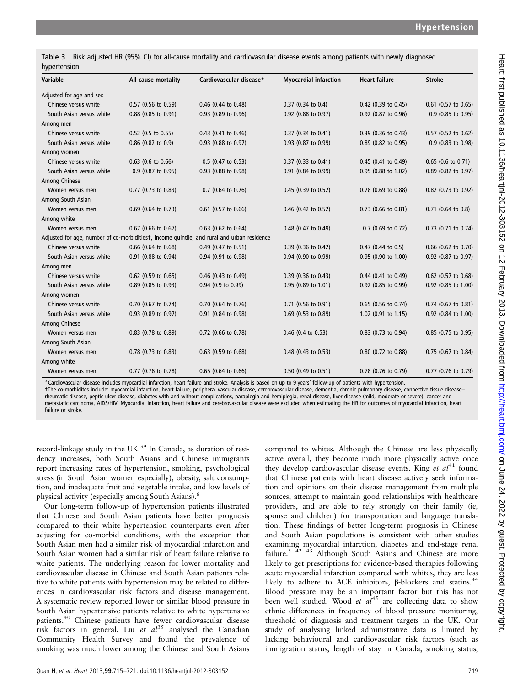Table 3 Risk adjusted HR (95% CI) for all-cause mortality and cardiovascular disease events among patients with newly diagnosed hypertension

| Variable                 | All-cause mortality   | Cardiovascular disease*                                                                     | <b>Myocardial infarction</b> | <b>Heart failure</b>  | <b>Stroke</b>         |
|--------------------------|-----------------------|---------------------------------------------------------------------------------------------|------------------------------|-----------------------|-----------------------|
| Adjusted for age and sex |                       |                                                                                             |                              |                       |                       |
| Chinese versus white     | 0.57 (0.56 to 0.59)   | 0.46 (0.44 to 0.48)                                                                         | 0.37 (0.34 to 0.4)           | 0.42 (0.39 to 0.45)   | $0.61$ (0.57 to 0.65) |
| South Asian versus white | 0.88 (0.85 to 0.91)   | 0.93 (0.89 to 0.96)                                                                         | 0.92 (0.88 to 0.97)          | 0.92 (0.87 to 0.96)   | 0.9 (0.85 to 0.95)    |
| Among men                |                       |                                                                                             |                              |                       |                       |
| Chinese versus white     | 0.52 (0.5 to 0.55)    | $0.43$ (0.41 to 0.46)                                                                       | 0.37 (0.34 to 0.41)          | $0.39$ (0.36 to 0.43) | 0.57 (0.52 to 0.62)   |
| South Asian versus white | $0.86$ (0.82 to 0.9)  | 0.93 (0.88 to 0.97)                                                                         | 0.93 (0.87 to 0.99)          | 0.89 (0.82 to 0.95)   | 0.9 (0.83 to 0.98)    |
| Among women              |                       |                                                                                             |                              |                       |                       |
| Chinese versus white     | $0.63$ (0.6 to 0.66)  | $0.5$ (0.47 to 0.53)                                                                        | 0.37 (0.33 to 0.41)          | $0.45$ (0.41 to 0.49) | $0.65$ (0.6 to 0.71)  |
| South Asian versus white | 0.9 (0.87 to 0.95)    | 0.93 (0.88 to 0.98)                                                                         | 0.91 (0.84 to 0.99)          | 0.95 (0.88 to 1.02)   | 0.89 (0.82 to 0.97)   |
| Among Chinese            |                       |                                                                                             |                              |                       |                       |
| Women versus men         | 0.77 (0.73 to 0.83)   | $0.7$ (0.64 to 0.76)                                                                        | 0.45 (0.39 to 0.52)          | 0.78 (0.69 to 0.88)   | 0.82 (0.73 to 0.92)   |
| Among South Asian        |                       |                                                                                             |                              |                       |                       |
| Women versus men         | 0.69 (0.64 to 0.73)   | $0.61$ (0.57 to 0.66)                                                                       | 0.46 (0.42 to 0.52)          | 0.73 (0.66 to 0.81)   | $0.71$ (0.64 to 0.8)  |
| Among white              |                       |                                                                                             |                              |                       |                       |
| Women versus men         | $0.67$ (0.66 to 0.67) | $0.63$ (0.62 to 0.64)                                                                       | 0.48 (0.47 to 0.49)          | $0.7$ (0.69 to 0.72)  | 0.73 (0.71 to 0.74)   |
|                          |                       | Adjusted for age, number of co-morbiditiest, income quintile, and rural and urban residence |                              |                       |                       |
| Chinese versus white     | $0.66$ (0.64 to 0.68) | $0.49$ (0.47 to 0.51)                                                                       | 0.39 (0.36 to 0.42)          | $0.47$ (0.44 to 0.5)  | $0.66$ (0.62 to 0.70) |
| South Asian versus white | 0.91 (0.88 to 0.94)   | 0.94 (0.91 to 0.98)                                                                         | 0.94 (0.90 to 0.99)          | 0.95 (0.90 to 1.00)   | 0.92 (0.87 to 0.97)   |
| Among men                |                       |                                                                                             |                              |                       |                       |
| Chinese versus white     | $0.62$ (0.59 to 0.65) | $0.46$ (0.43 to 0.49)                                                                       | 0.39 (0.36 to 0.43)          | $0.44$ (0.41 to 0.49) | 0.62 (0.57 to 0.68)   |
| South Asian versus white | 0.89 (0.85 to 0.93)   | 0.94 (0.9 to 0.99)                                                                          | 0.95 (0.89 to 1.01)          | 0.92 (0.85 to 0.99)   | 0.92 (0.85 to 1.00)   |
| Among women              |                       |                                                                                             |                              |                       |                       |
| Chinese versus white     | 0.70 (0.67 to 0.74)   | $0.70$ (0.64 to 0.76)                                                                       | 0.71 (0.56 to 0.91)          | 0.65 (0.56 to 0.74)   | $0.74$ (0.67 to 0.81) |
| South Asian versus white | 0.93 (0.89 to 0.97)   | 0.91 (0.84 to 0.98)                                                                         | $0.69$ (0.53 to 0.89)        | 1.02 (0.91 to 1.15)   | 0.92 (0.84 to 1.00)   |
| Among Chinese            |                       |                                                                                             |                              |                       |                       |
| Women versus men         | 0.83 (0.78 to 0.89)   | 0.72 (0.66 to 0.78)                                                                         | $0.46$ (0.4 to 0.53)         | 0.83 (0.73 to 0.94)   | 0.85 (0.75 to 0.95)   |
| Among South Asian        |                       |                                                                                             |                              |                       |                       |
| Women versus men         | 0.78 (0.73 to 0.83)   | $0.63$ (0.59 to 0.68)                                                                       | 0.48 (0.43 to 0.53)          | 0.80 (0.72 to 0.88)   | 0.75 (0.67 to 0.84)   |
| Among white              |                       |                                                                                             |                              |                       |                       |
| Women versus men         | 0.77 (0.76 to 0.78)   | $0.65$ (0.64 to 0.66)                                                                       | 0.50 (0.49 to 0.51)          | 0.78 (0.76 to 0.79)   | 0.77 (0.76 to 0.79)   |

\*Cardiovascular disease includes myocardial infarction, heart failure and stroke. Analysis is based on up to 9 years' follow-up of patients with hypertension.

†The co-morbidites include: myocardial infarction, heart failure, peripheral vascular disease, cerebrovascular disease, dementia, chronic pulmonary disease, connective tissue disease–<br>rheumatic disease, peptic ulcer diseas metastatic carcinoma, AIDS/HIV. Myocardial infarction, heart failure and cerebrovascular disease were excluded when estimating the HR for outcomes of myocardial infarction, heart failure or stroke.

record-linkage study in the UK.<sup>39</sup> In Canada, as duration of residency increases, both South Asians and Chinese immigrants report increasing rates of hypertension, smoking, psychological stress (in South Asian women especially), obesity, salt consumption, and inadequate fruit and vegetable intake, and low levels of physical activity (especially among South Asians).<sup>6</sup>

Our long-term follow-up of hypertension patients illustrated that Chinese and South Asian patients have better prognosis compared to their white hypertension counterparts even after adjusting for co-morbid conditions, with the exception that South Asian men had a similar risk of myocardial infarction and South Asian women had a similar risk of heart failure relative to white patients. The underlying reason for lower mortality and cardiovascular disease in Chinese and South Asian patients relative to white patients with hypertension may be related to differences in cardiovascular risk factors and disease management. A systematic review reported lower or similar blood pressure in South Asian hypertensive patients relative to white hypertensive patients.40 Chinese patients have fewer cardiovascular disease risk factors in general. Liu et  $al^{35}$  analysed the Canadian Community Health Survey and found the prevalence of smoking was much lower among the Chinese and South Asians compared to whites. Although the Chinese are less physically active overall, they become much more physically active once they develop cardiovascular disease events. King et  $al^{41}$  found that Chinese patients with heart disease actively seek information and opinions on their disease management from multiple sources, attempt to maintain good relationships with healthcare providers, and are able to rely strongly on their family (ie, spouse and children) for transportation and language translation. These findings of better long-term prognosis in Chinese and South Asian populations is consistent with other studies examining myocardial infarction, diabetes and end-stage renal failure.<sup>5 42 43</sup> Although South Asians and Chinese are more likely to get prescriptions for evidence-based therapies following acute myocardial infarction compared with whites, they are less likely to adhere to ACE inhibitors, β-blockers and statins.<sup>44</sup> Blood pressure may be an important factor but this has not been well studied. Wood *et al*<sup>45</sup> are collecting data to show ethnic differences in frequency of blood pressure monitoring, threshold of diagnosis and treatment targets in the UK. Our study of analysing linked administrative data is limited by lacking behavioural and cardiovascular risk factors (such as immigration status, length of stay in Canada, smoking status,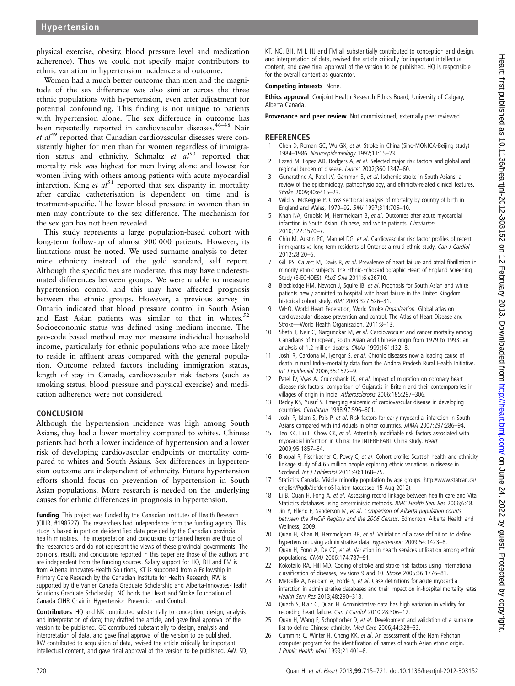physical exercise, obesity, blood pressure level and medication adherence). Thus we could not specify major contributors to ethnic variation in hypertension incidence and outcome.

Women had a much better outcome than men and the magnitude of the sex difference was also similar across the three ethnic populations with hypertension, even after adjustment for potential confounding. This finding is not unique to patients with hypertension alone. The sex difference in outcome has been repeatedly reported in cardiovascular diseases.<sup>46-48</sup> Nair  $et \text{ }al^{49}$  reported that Canadian cardiovascular diseases were consistently higher for men than for women regardless of immigration status and ethnicity. Schmaltz  $et \ a l^{50}$  reported that mortality risk was highest for men living alone and lowest for women living with others among patients with acute myocardial infarction. King *et al*<sup>51</sup> reported that sex disparity in mortality after cardiac catheterisation is dependent on time and is treatment-specific. The lower blood pressure in women than in men may contribute to the sex difference. The mechanism for the sex gap has not been revealed.

This study represents a large population-based cohort with long-term follow-up of almost 900 000 patients. However, its limitations must be noted. We used surname analysis to determine ethnicity instead of the gold standard, self report. Although the specificities are moderate, this may have underestimated differences between groups. We were unable to measure hypertension control and this may have affected prognosis between the ethnic groups. However, a previous survey in Ontario indicated that blood pressure control in South Asian and East Asian patients was similar to that in whites. $52$ Socioeconomic status was defined using medium income. The geo-code based method may not measure individual household income, particularly for ethnic populations who are more likely to reside in affluent areas compared with the general population. Outcome related factors including immigration status, length of stay in Canada, cardiovascular risk factors (such as smoking status, blood pressure and physical exercise) and medication adherence were not considered.

#### **CONCLUSION**

Although the hypertension incidence was high among South Asians, they had a lower mortality compared to whites. Chinese patients had both a lower incidence of hypertension and a lower risk of developing cardiovascular endpoints or mortality compared to whites and South Asians. Sex differences in hypertension outcome are independent of ethnicity. Future hypertension efforts should focus on prevention of hypertension in South Asian populations. More research is needed on the underlying causes for ethnic differences in prognosis in hypertension.

Funding This project was funded by the Canadian Institutes of Health Research (CIHR, #198727). The researchers had independence from the funding agency. This study is based in part on de-identified data provided by the Canadian provincial health ministries. The interpretation and conclusions contained herein are those of the researchers and do not represent the views of these provincial governments. The opinions, results and conclusions reported in this paper are those of the authors and are independent from the funding sources. Salary support for HQ, BH and FM is from Alberta Innovates-Health Solutions, KT is supported from a Fellowship in Primary Care Research by the Canadian Institute for Health Research, RW is supported by the Vanier Canada Graduate Scholarship and Alberta-Innovates-Health Solutions Graduate Scholarship. NC holds the Heart and Stroke Foundation of Canada CIHR Chair in Hypertension Prevention and Control.

Contributors HQ and NK contributed substantially to conception, design, analysis and interpretation of data; they drafted the article, and gave final approval of the version to be published. GC contributed substantially to design, analysis and interpretation of data, and gave final approval of the version to be published. RW contributed to acquisition of data, revised the article critically for important intellectual content, and gave final approval of the version to be published. AW, SD,

KT, NC, BH, MH, HJ and FM all substantially contributed to conception and design, and interpretation of data, revised the article critically for important intellectual content, and gave final approval of the version to be published. HQ is responsible for the overall content as guarantor.

#### Competing interests None.

Ethics approval Conjoint Health Research Ethics Board, University of Calgary, Alberta Canada.

Provenance and peer review Not commissioned; externally peer reviewed.

## **REFERENCES**

- Chen D, Roman GC, Wu GX, et al. Stroke in China (Sino-MONICA-Beijing study) 1984–1986. Neuroepidemiology 1992;11:15–23.
- 2 Ezzati M, Lopez AD, Rodgers A, et al. Selected major risk factors and global and regional burden of disease. Lancet 2002;360:1347–60.
- 3 Gunarathne A, Patel JV, Gammon B, et al. Ischemic stroke in South Asians: a review of the epidemiology, pathophysiology, and ethnicity-related clinical features. Stroke 2009;40:e415–23.
- 4 Wild S, McKeigue P. Cross sectional analysis of mortality by country of birth in England and Wales, 1970–92. BMJ 1997;314:705–10.
- 5 Khan NA, Grubisic M, Hemmelgarn B, et al. Outcomes after acute myocardial infarction in South Asian, Chinese, and white patients. Circulation 2010;122:1570–7.
- 6 Chiu M, Austin PC, Manuel DG, et al. Cardiovascular risk factor profiles of recent immigrants vs long-term residents of Ontario: a multi-ethnic study. Can J Cardiol 2012;28:20–6.
- 7 Gill PS, Calvert M, Davis R, et al. Prevalence of heart failure and atrial fibrillation in minority ethnic subjects: the Ethnic-Echocardiographic Heart of England Screening Study (E-ECHOES). PLoS One 2011;6:e26710.
- Blackledge HM, Newton J, Squire IB, et al. Prognosis for South Asian and white patients newly admitted to hospital with heart failure in the United Kingdom: historical cohort study. BMJ 2003;327:526-31.
- WHO, World Heart Federation, World Stroke Organization. Global atlas on cardiovascular disease prevention and control. The Atlas of Heart Disease and Stroke—World Health Organization, 2011:8–13.
- 10 Sheth T, Nair C, Nargundkar M, et al. Cardiovascular and cancer mortality among Canadians of European, south Asian and Chinese origin from 1979 to 1993: an analysis of 1.2 million deaths. CMAJ 1999;161:132–8.
- 11 Joshi R, Cardona M, Iyengar S, et al. Chronic diseases now a leading cause of death in rural India–mortality data from the Andhra Pradesh Rural Health Initiative. Int J Epidemiol 2006;35:1522–9.
- 12 Patel JV, Vyas A, Cruickshank JK, et al. Impact of migration on coronary heart disease risk factors: comparison of Gujaratis in Britain and their contemporaries in villages of origin in India. Atherosclerosis 2006;185:297–306.
- 13 Reddy KS, Yusuf S. Emerging epidemic of cardiovascular disease in developing countries. Circulation 1998;97:596–601.
- 14 Joshi P, Islam S, Pais P, et al. Risk factors for early myocardial infarction in South Asians compared with individuals in other countries. JAMA 2007;297:286–94.
- 15 Teo KK, Liu L, Chow CK, et al. Potentially modifiable risk factors associated with myocardial infarction in China: the INTERHEART China study. Heart 2009;95:1857–64.
- 16 Bhopal R, Fischbacher C, Povey C, et al. Cohort profile: Scottish health and ethnicity linkage study of 4.65 million people exploring ethnic variations in disease in Scotland. Int J Epidemiol 2011;40:1168-75.
- 17 Statistics Canada. Visible minority population by age groups. [http://www.statcan.ca/](http://www.statcan.ca/english/Pgdb/defdemo51a.htm) [english/Pgdb/defdemo51a.htm](http://www.statcan.ca/english/Pgdb/defdemo51a.htm) (accessed 15 Aug 2012).
- 18 Li B, Quan H, Fong A, et al. Assessing record linkage between health care and Vital Statistics databases using deterministic methods. BMC Health Serv Res 2006;6:48.
- 19 Jin Y, Elleho E, Sanderson M, et al. Comparison of Alberta population counts between the AHCIP Registry and the 2006 Census. Edmonton: Alberta Health and Wellness; 2009.
- 20 Quan H, Khan N, Hemmelgarn BR, et al. Validation of a case definition to define hypertension using administrative data. Hypertension 2009;54:1423–8.
- 21 Quan H, Fong A, De CC, et al. Variation in health services utilization among ethnic populations. CMAJ 2006;174:787–91.
- 22 Kokotailo RA, Hill MD. Coding of stroke and stroke risk factors using international classification of diseases, revisions 9 and 10. Stroke 2005;36:1776–81.
- 23 Metcalfe A, Neudam A, Forde S, et al. Case definitions for acute myocardial infarction in administrative databases and their impact on in-hospital mortality rates. Health Serv Res 2013;48:290–318.
- 24 Quach S, Blair C, Quan H. Administrative data has high variation in validity for recording heart failure. Can J Cardiol 2010;28:306–12.
- 25 Quan H, Wang F, Schopflocher D, et al. Development and validation of a surname list to define Chinese ethnicity. Med Care 2006;44:328–33.
- Cummins C, Winter H, Cheng KK, et al. An assessment of the Nam Pehchan computer program for the identification of names of south Asian ethnic origin. J Public Health Med 1999;21:401–6.